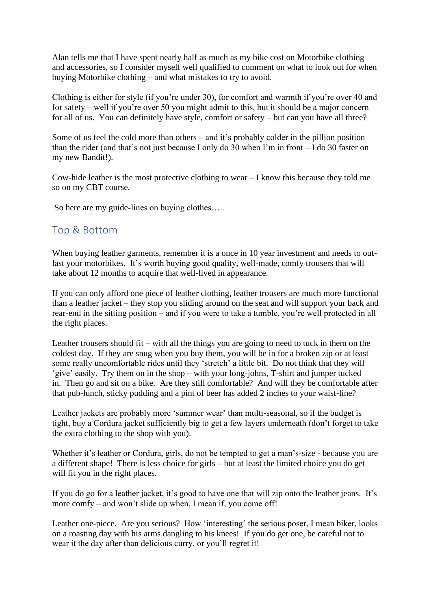Alan tells me that I have spent nearly half as much as my bike cost on Motorbike clothing and accessories, so I consider myself well qualified to comment on what to look out for when buying Motorbike clothing – and what mistakes to try to avoid.

Clothing is either for style (if you're under 30), for comfort and warmth if you're over 40 and for safety – well if you're over 50 you might admit to this, but it should be a major concern for all of us. You can definitely have style, comfort or safety – but can you have all three?

Some of us feel the cold more than others – and it's probably colder in the pillion position than the rider (and that's not just because I only do 30 when I'm in front – I do 30 faster on my new Bandit!).

Cow-hide leather is the most protective clothing to wear – I know this because they told me so on my CBT course.

So here are my guide-lines on buying clothes…..

## Top & Bottom

When buying leather garments, remember it is a once in 10 year investment and needs to outlast your motorbikes. It's worth buying good quality, well-made, comfy trousers that will take about 12 months to acquire that well-lived in appearance.

If you can only afford one piece of leather clothing, leather trousers are much more functional than a leather jacket – they stop you sliding around on the seat and will support your back and rear-end in the sitting position – and if you were to take a tumble, you're well protected in all the right places.

Leather trousers should fit – with all the things you are going to need to tuck in them on the coldest day. If they are snug when you buy them, you will be in for a broken zip or at least some really uncomfortable rides until they 'stretch' a little bit. Do not think that they will 'give' easily. Try them on in the shop – with your long-johns, T-shirt and jumper tucked in. Then go and sit on a bike. Are they still comfortable? And will they be comfortable after that pub-lunch, sticky pudding and a pint of beer has added 2 inches to your waist-line?

Leather jackets are probably more 'summer wear' than multi-seasonal, so if the budget is tight, buy a Cordura jacket sufficiently big to get a few layers underneath (don't forget to take the extra clothing to the shop with you).

Whether it's leather or Cordura, girls, do not be tempted to get a man's-size - because you are a different shape! There is less choice for girls – but at least the limited choice you do get will fit you in the right places.

If you do go for a leather jacket, it's good to have one that will zip onto the leather jeans. It's more comfy – and won't slide up when, I mean if, you come off!

Leather one-piece. Are you serious? How 'interesting' the serious poser, I mean biker, looks on a roasting day with his arms dangling to his knees! If you do get one, be careful not to wear it the day after than delicious curry, or you'll regret it!